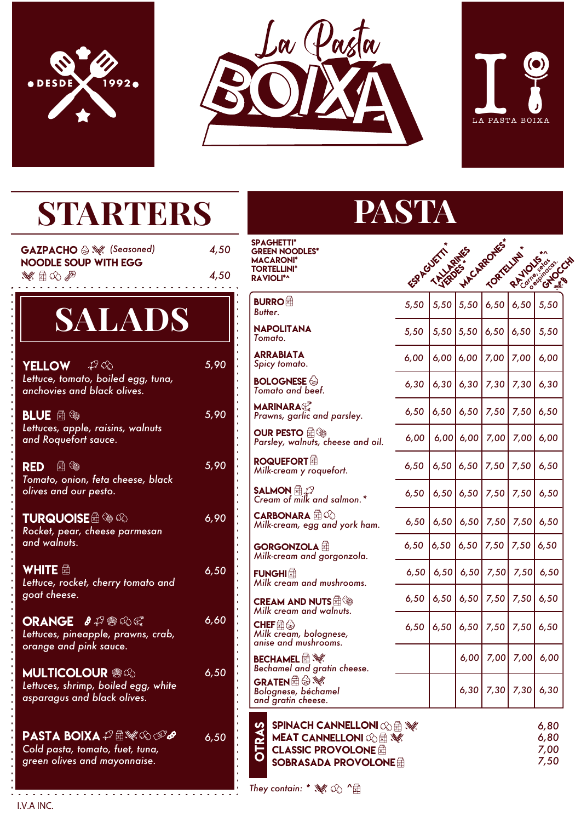





| <b>STARTERS</b>                                                                                                |              | PAS <sup>"</sup>                                                                                                                            |      |
|----------------------------------------------------------------------------------------------------------------|--------------|---------------------------------------------------------------------------------------------------------------------------------------------|------|
| GAZPACHO & \ (Seasoned)<br><b>NOODLE SOUP WITH EGG</b><br>$\mathscr{A} \oplus \mathbb{Q}$                      | 4,50<br>4,50 | <b>SPAGHETTI*</b><br><b>GREEN NOODLES*</b><br><b>MACARONI*</b><br><b>TORTELLINI*</b><br><b>RAVIOLI*^</b>                                    | ఢ్ల  |
| <b>SALADS</b>                                                                                                  |              | <b>BURRO</b><br>Butter.                                                                                                                     | 5,5  |
|                                                                                                                |              | <b>NAPOLITANA</b><br>Tomato.                                                                                                                | 5,5  |
| - 47 06<br><b>YELLOW</b>                                                                                       | 5,90         | <b>ARRABIATA</b><br>Spicy tomato.                                                                                                           | 6,0  |
| Lettuce, tomato, boiled egg, tuna,<br>anchovies and black olives.                                              |              | <b>BOLOGNESE</b><br>Tomato and beef.                                                                                                        | 6,3  |
| <b>BLUE</b> <i>鱼</i> ��                                                                                        | 5,90         | <b>MARINARA</b><br>Prawns, garlic and parsley.                                                                                              | 6, 5 |
| Lettuces, apple, raisins, walnuts<br>and Roquefort sauce.                                                      |              | <b>OUR PESTO AS</b><br>Parsley, walnuts, cheese and oil.                                                                                    | 6,0  |
| RED A <sup><b></b></sup><br>Tomato, onion, feta cheese, black                                                  | 5,90         | <b>ROQUEFORT</b><br>Milk-cream y roquefort.                                                                                                 | 6,5  |
| olives and our pesto.                                                                                          |              | <b>SALMON</b> $\bigoplus_{n=1}^{\infty} \mathcal{D}$<br>Cream of milk and salmon. *                                                         | 6, 5 |
| TURQUOISE A SO CO<br>Rocket, pear, cheese parmesan                                                             | 6,90         | <b>CARBONARA E</b><br>Milk-cream, egg and york ham.                                                                                         | 6, 5 |
| and walnuts.                                                                                                   |              | GORGONZOLA<br>Milk-cream and gorgonzola.                                                                                                    | 6,5  |
| WHITE <i></i><br>Lettuce, rocket, cherry tomato and                                                            | 6,50         | <b>FUNGHI</b> 鱼<br>Milk cream and mushrooms.                                                                                                | 6, 5 |
| goat cheese.                                                                                                   |              | <b>CREAM AND NUTS</b><br>Milk cream and walnuts.                                                                                            | 6, 5 |
| <b>ORANGE 8 P @ QQ</b><br>Lettuces, pineapple, prawns, crab,                                                   | 6,60         | $\mathsf{CHEF} \widehat{\oplus} \mathbb{Q}$<br>Milk cream, bolognese,                                                                       | 6, 5 |
| orange and pink sauce.                                                                                         |              | anise and mushrooms.<br><b>BECHAMEL A</b> W                                                                                                 |      |
| <b>MULTICOLOUR ®</b>                                                                                           | 6,50         | Bechamel and gratin cheese.                                                                                                                 |      |
| Lettuces, shrimp, boiled egg, white<br>asparagus and black olives.                                             |              | <b>GRATEN</b> $\bigoplus$ $\mathscr{C}$<br>Bolognese, béchamel<br>and gratin cheese.                                                        |      |
| PASTA BOIXA <del>பி</del> ∰ை⊗ு <i>&amp;</i><br>Cold pasta, tomato, fuet, tuna,<br>green olives and mayonnaise. | 6,50         | <b>SPINACH CANNELLONI OG EN SOFT</b><br>TRAS<br><b>MEAT CANNELLONI OG EN SOFT</b><br><b>CLASSIC PROVOLONE</b><br><b>SOBRASADA PROVOLONE</b> |      |

 $\omega$  ,  $\omega$  ,  $\omega$  ,  $\omega$ 

# **STA**

| <b>SPAGHETTI*</b><br>GREEN NOODLES*<br>MACARONI*<br><b>TORTELLINI*</b><br><b>AVIOLI*^</b>                          | FSP ROUETT | - History | HACARONES' | TORTELLIN' |      | RATIONS CRIPS |
|--------------------------------------------------------------------------------------------------------------------|------------|-----------|------------|------------|------|---------------|
| <b>BURRO</b> 鱼<br>Butter.                                                                                          | 5,50       | 5,50      | 5,50       | 6,50       | 6,50 | 5,50          |
| <b>NAPOLITANA</b><br>Tomato.                                                                                       | 5,50       | 5,50      | 5,50       | 6,50       | 6,50 | 5,50          |
| <b>ARRABIATA</b><br>Spicy tomato.                                                                                  | 6,00       | 6,00      | 6,00       | 7,00       | 7,00 | 6,00          |
| <b>BOLOGNESE</b><br>Tomato and beef.                                                                               | 6,30       | 6,30      | 6,30       | 7,30       | 7,30 | 6,30          |
| <b>MARINARA</b><br>Prawns, garlic and parsley.                                                                     | 6,50       | 6,50      | 6,50       | 7,50       | 7,50 | 6,50          |
| Parsley, walnuts, cheese and oil.                                                                                  | 6,00       | 6,00      | 6,00       | 7,00       | 7,00 | 6,00          |
| Milk-cream y roquefort.                                                                                            | 6,50       | 6,50      | 6,50       | 7,50       | 7,50 | 6,50          |
| Cream of milk and salmon.*                                                                                         | 6,50       | 6,50      | 6,50       | 7,50       | 7,50 | 6,50          |
| Milk-cream, egg and york ham.                                                                                      | 6,50       | 6,50      | 6,50       | 7,50       | 7,50 | 6,50          |
| <b>GORGONZOLA 计</b><br>Milk-cream and gorgonzola.                                                                  | 6,50       | 6,50      | 6,50       | 7,50       | 7,50 | 6,50          |
| Milk cream and mushrooms.                                                                                          | 6,50       | 6,50      | 6,50       | 7,50       | 7,50 | 6,50          |
| $\sf CREAM$ AND NUTS $\widehat{\boxplus}$ $\widehat{\otimes}$<br>Milk cream and walnuts.                           | 6,50       | 6,50      | 6,50       | 7,50       | 7,50 | 6,50          |
| $\mathsf{CHEF}$ କ୍ଲି $\mathbin{\widehat{\otimes}}$<br>Milk cream, bolognese,<br>anise and mushrooms.               | 6,50       | 6,50      | 6,50       | 7,50       | 7,50 | 6,50          |
| <b>BECHAMEL</b> $\mathbf{\widehat{\boxplus}}$ $\mathbf{\mathbf{\mathscr{C}}}\!\ell$<br>Bechamel and gratin cheese. |            |           | 6,00       | 7,00       | 7,00 | 6,00          |
| GRATEN $\widehat{\mathbb{B}} \widehat{\otimes} \mathscr{U}$<br>Bolognese, béchamel<br>and gratin cheese.           |            |           | 6,30       | 7,30       | 7,30 | 6,30          |

*6,80 6,80 7,00*

*7,50*

*They contain: \* ^* 

. <del>. . . . . . . . . .</del> I.V.A INC.

. . . . . . . .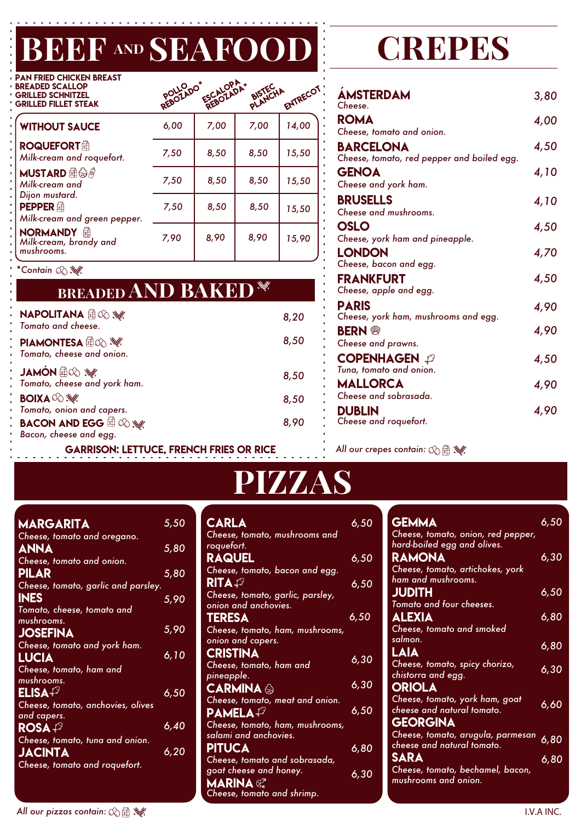### $\overline{\mathbf{C}}$ BEEF AND SEAFOOD CREPES

| <b>PAN FRIED CHICKEN BREAST</b><br><b>BREADED SCALLOP</b><br><b>GRILLED SCHNITZEL</b><br><b>GRILLED FILLET STEAK</b> | REBOLLO <sub>DO*</sub> | ESCALOPA* | BISTECHA | ENTRECOT |
|----------------------------------------------------------------------------------------------------------------------|------------------------|-----------|----------|----------|
| <b>WITHOUT SAUCE</b>                                                                                                 | 6,00                   | 7,00      | 7,00     | 14,00    |
| <b>ROQUEFORT</b> 角<br>Milk-cream and roquefort.                                                                      | 7,50                   | 8,50      | 8,50     | 15,50    |
| <b>MUSTARD</b> AO<br>Milk-cream and                                                                                  | 7,50                   | 8,50      | 8,50     | 15,50    |
| Dijon mustard.<br><b>PEPPER</b> 鱼<br>Milk-cream and green pepper.                                                    | 7,50                   | 8,50      | 8,50     | 15,50    |
| NORMANDY <b>A</b><br>Milk-cream, brandy and<br>mushrooms.                                                            | 7,90                   | 8,90      | 8,90     | 15,90    |

*\*Contain*

| <b>PASS</b><br><b>BREADED AND BAKED</b>                                                   |      |
|-------------------------------------------------------------------------------------------|------|
| <b>NAPOLITANA</b> AO S<br>Tomato and cheese.                                              | 8,20 |
| <b>PIAMONTESA</b> A $\otimes$ $\mathscr{H}$<br>Tomato, cheese and onion.                  | 8,50 |
| <b>SA CO E NÒNAL</b><br>Tomato, cheese and york ham.                                      | 8,50 |
| <b>BOIXA</b> © set                                                                        | 8,50 |
| Tomato, onion and capers.<br><b>BACON AND EGG</b> the $\otimes$<br>Bacon, cheese and egg. | 8,90 |
| <b>GARRISON: LETTUCE, FRENCH FRIES OR RICE</b>                                            |      |

| <b>ÁMSTERDAM</b><br>Cheese.                                    | 3,80 |
|----------------------------------------------------------------|------|
| <b>ROMA</b>                                                    | 4,00 |
| Cheese, tomato and onion.                                      |      |
| <b>BARCELONA</b><br>Cheese, tomato, red pepper and boiled egg. | 4,50 |
| <b>GENOA</b><br>Cheese and york ham.                           | 4,10 |
| <b>BRUSELLS</b><br>Cheese and mushrooms.                       | 4,10 |
| <b>OSLO</b><br>Cheese, york ham and pineapple.                 | 4,50 |
| LONDON<br>Cheese, bacon and egg.                               | 4,70 |
| <b>FRANKFURT</b><br>Cheese, apple and egg.                     | 4,50 |
| <b>PARIS</b><br>Cheese, york ham, mushrooms and egg.           | 4,90 |
| <b>BERN</b><br>Cheese and prawns.                              | 4,90 |
| <b>COPENHAGEN</b><br>Tuna, tomato and onion.                   | 4,50 |
| <b>MALLORCA</b><br>Cheese and sobrasada.                       | 4,90 |
| <b>DUBLIN</b><br>Cheese and roquefort.                         | 4,90 |

*All our crepes contain:*

## PIZZAS

| MARGARITA                                  | 5,50        |
|--------------------------------------------|-------------|
| Cheese, tomato and oregano.                |             |
| <b>ANNA</b>                                | 5,80        |
| Cheese, tomato and onion.                  |             |
| PILAR                                      | <u>5,80</u> |
| Cheese, tomato, garlic and parsley.        |             |
| <b>INES</b>                                | 5,90        |
| Tomato, cheese, tomato and                 |             |
| mushrooms.                                 |             |
| <b>JOSEFINA</b>                            | 5,90        |
| Cheese, tomato and york ham.               |             |
| LUCIA                                      | 6,10        |
| Cheese, tomato, ham and                    |             |
| mushrooms.                                 |             |
| $ELISA$ <sup><math>\mathcal G</math></sup> | 6,50        |
| Cheese, tomato, anchovies, olives          |             |
| and capers.                                |             |
| ROSA $\mathscr P$                          | 6,40        |
| Cheese, tomato, tuna and onion.            |             |
| JACINTA                                    | 6,20        |
| Cheese, tomato and roquefort.              |             |
|                                            |             |

| <b>CARLA</b>                     | 6,50 |
|----------------------------------|------|
| Cheese, tomato, mushrooms and    |      |
| roquefort.                       |      |
| <b>RAQUEL</b>                    | 6,50 |
| Cheese, tomato, bacon and egg.   |      |
| $\mathsf{RITA}\mathscr{P}$       | 6,50 |
| Cheese, tomato, garlic, parsley, |      |
| onion and anchovies.             |      |
| <b>TERESA</b>                    | 6,50 |
| Cheese, tomato, ham, mushrooms,  |      |
| onion and capers.                |      |
| <b>CRISTINA</b>                  |      |
| Cheese, tomato, ham and          | 6,30 |
| pineapple.                       |      |
| CARMINA A                        | 6,30 |
| Cheese, tomato, meat and onion.  |      |
| $\mathsf{PAMELA} \mathscr{P}$    | 6,50 |
| Cheese, tomato, ham, mushrooms,  |      |
| salami and anchovies.            |      |
| <b>PITUCA</b>                    | 6,80 |
| Cheese, tomato and sobrasada,    |      |
| goat cheese and honey.           | 6,30 |
| <b>MARINA</b>                    |      |
| Cheese, tomato and shrimp.       |      |
|                                  |      |

| <b>GEMMA</b>                                             | 6,50                                                                                                                                                                                  |
|----------------------------------------------------------|---------------------------------------------------------------------------------------------------------------------------------------------------------------------------------------|
| hard-boiled egg and olives.<br><b>RAMONA</b>             | 6,30                                                                                                                                                                                  |
| ham and mushrooms.<br><b>JUDITH</b>                      | 6,50                                                                                                                                                                                  |
| <b>ALEXIA</b><br>Cheese, tomato and smoked               | 6,80                                                                                                                                                                                  |
| salmon.                                                  | 6,80                                                                                                                                                                                  |
| Cheese, tomato, spicy chorizo,<br>chistorra and egg.     | 6,30                                                                                                                                                                                  |
| <b>ORIOLA</b><br>Cheese, tomato, york ham, goat          | 6,60                                                                                                                                                                                  |
| GEORGINA                                                 |                                                                                                                                                                                       |
| cheese and natural tomato.                               | 6,80                                                                                                                                                                                  |
| Cheese, tomato, bechamel, bacon,<br>mushrooms and onion. | 6,80                                                                                                                                                                                  |
|                                                          | Cheese, tomato, onion, red pepper,<br>Cheese, tomato, artichokes, york<br>Tomato and four cheeses.<br>LAIA<br>cheese and natural tomato.<br>Cheese, tomato, arugula, parmesan<br>SARA |